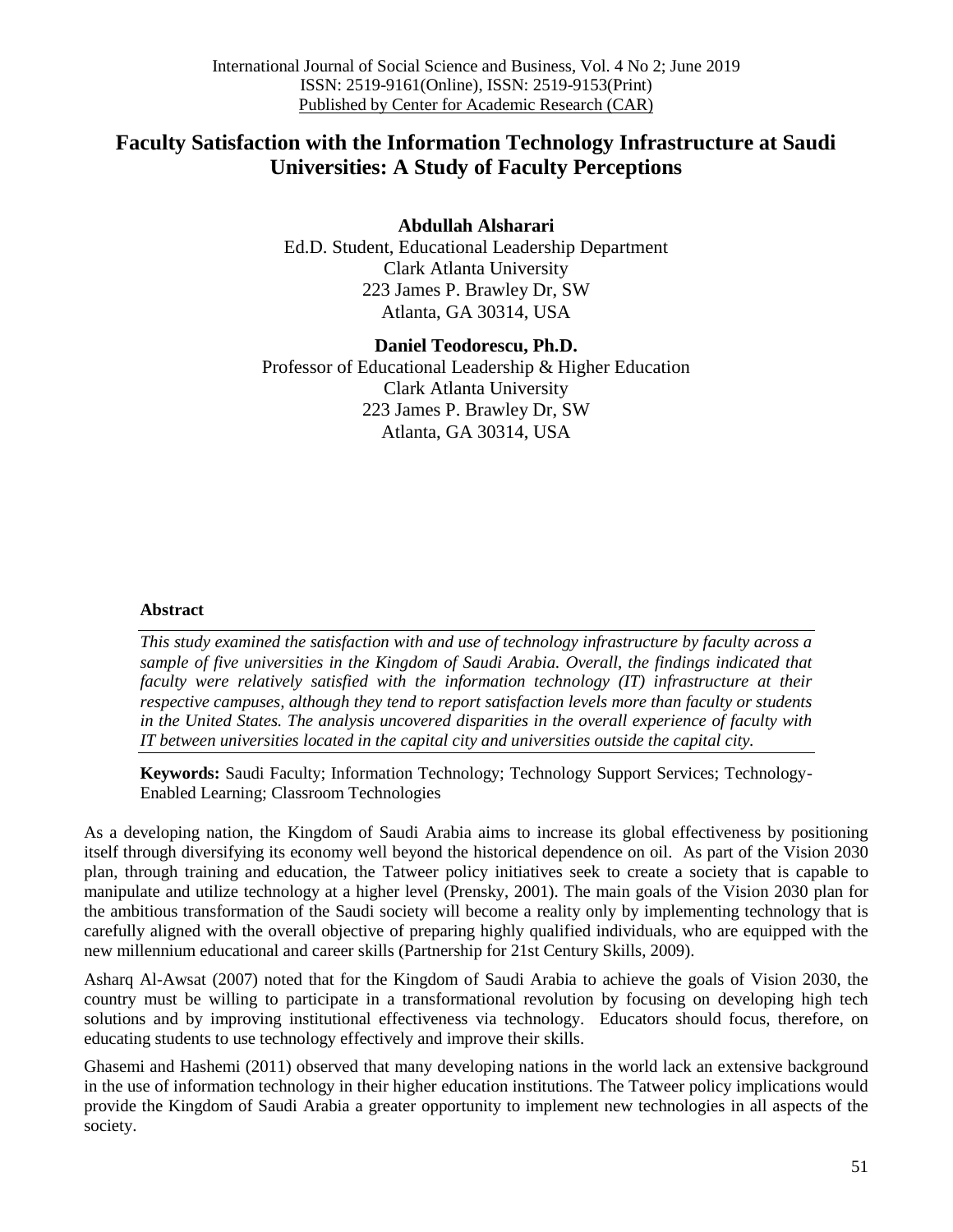## **Faculty Satisfaction with the Information Technology Infrastructure at Saudi Universities: A Study of Faculty Perceptions**

**Abdullah Alsharari** Ed.D. Student, Educational Leadership Department Clark Atlanta University 223 James P. Brawley Dr, SW Atlanta, GA 30314, USA

**Daniel Teodorescu, Ph.D.** Professor of Educational Leadership & Higher Education Clark Atlanta University 223 James P. Brawley Dr, SW Atlanta, GA 30314, USA

#### **Abstract**

*This study examined the satisfaction with and use of technology infrastructure by faculty across a sample of five universities in the Kingdom of Saudi Arabia. Overall, the findings indicated that faculty were relatively satisfied with the information technology (IT) infrastructure at their respective campuses, although they tend to report satisfaction levels more than faculty or students in the United States. The analysis uncovered disparities in the overall experience of faculty with IT between universities located in the capital city and universities outside the capital city.* 

**Keywords:** Saudi Faculty; Information Technology; Technology Support Services; Technology-Enabled Learning; Classroom Technologies

As a developing nation, the Kingdom of Saudi Arabia aims to increase its global effectiveness by positioning itself through diversifying its economy well beyond the historical dependence on oil. As part of the Vision 2030 plan, through training and education, the Tatweer policy initiatives seek to create a society that is capable to manipulate and utilize technology at a higher level (Prensky, 2001). The main goals of the Vision 2030 plan for the ambitious transformation of the Saudi society will become a reality only by implementing technology that is carefully aligned with the overall objective of preparing highly qualified individuals, who are equipped with the new millennium educational and career skills (Partnership for 21st Century Skills, 2009).

Asharq Al-Awsat (2007) noted that for the Kingdom of Saudi Arabia to achieve the goals of Vision 2030, the country must be willing to participate in a transformational revolution by focusing on developing high tech solutions and by improving institutional effectiveness via technology. Educators should focus, therefore, on educating students to use technology effectively and improve their skills.

Ghasemi and Hashemi (2011) observed that many developing nations in the world lack an extensive background in the use of information technology in their higher education institutions. The Tatweer policy implications would provide the Kingdom of Saudi Arabia a greater opportunity to implement new technologies in all aspects of the society.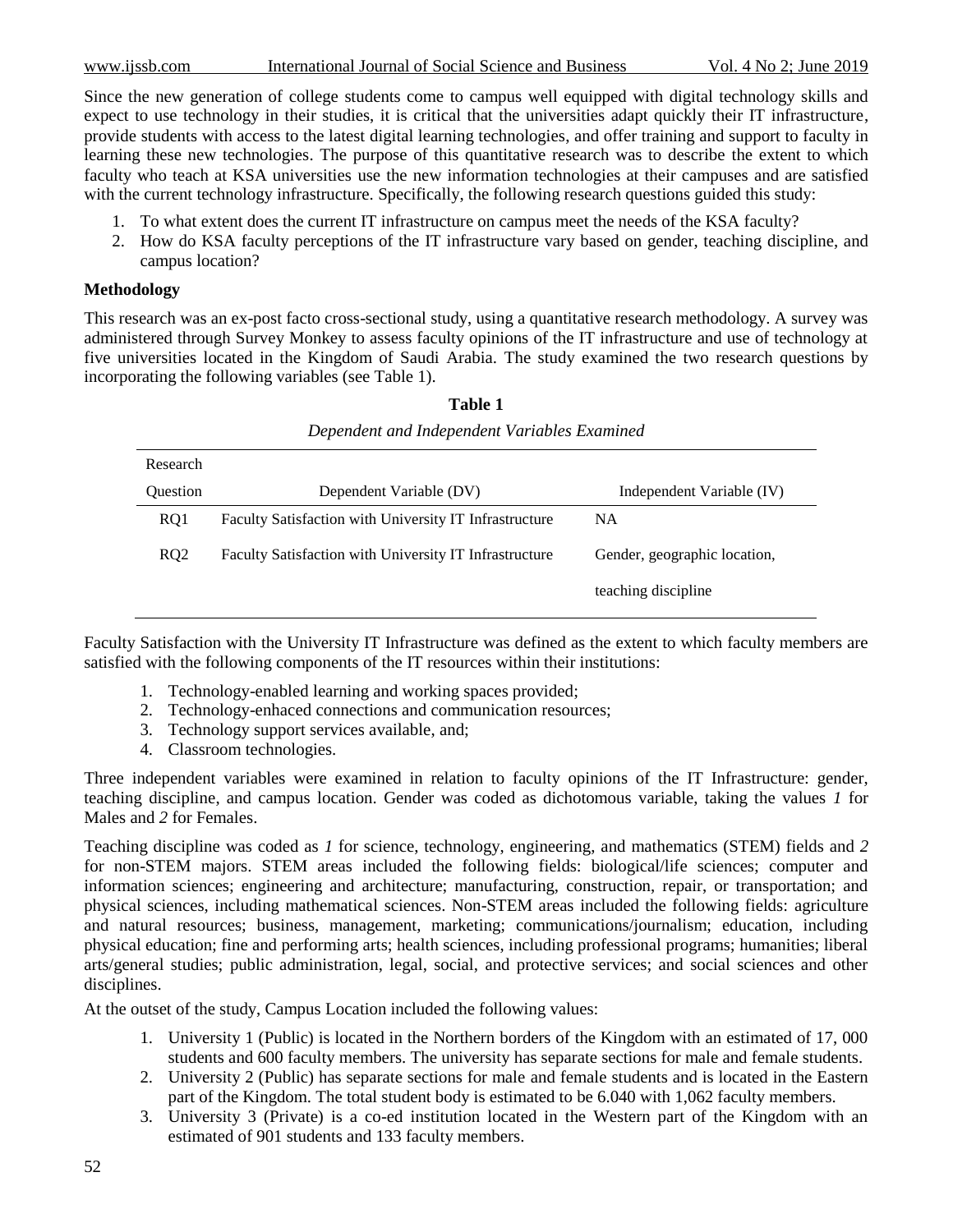Since the new generation of college students come to campus well equipped with digital technology skills and expect to use technology in their studies, it is critical that the universities adapt quickly their IT infrastructure, provide students with access to the latest digital learning technologies, and offer training and support to faculty in learning these new technologies. The purpose of this quantitative research was to describe the extent to which faculty who teach at KSA universities use the new information technologies at their campuses and are satisfied with the current technology infrastructure. Specifically, the following research questions guided this study:

- 1. To what extent does the current IT infrastructure on campus meet the needs of the KSA faculty?
- 2. How do KSA faculty perceptions of the IT infrastructure vary based on gender, teaching discipline, and campus location?

#### **Methodology**

This research was an ex-post facto cross-sectional study, using a quantitative research methodology. A survey was administered through Survey Monkey to assess faculty opinions of the IT infrastructure and use of technology at five universities located in the Kingdom of Saudi Arabia. The study examined the two research questions by incorporating the following variables (see Table 1).

| Research        |                                                               |                                                     |
|-----------------|---------------------------------------------------------------|-----------------------------------------------------|
| <b>Ouestion</b> | Dependent Variable (DV)                                       | Independent Variable (IV)                           |
| RQ1             | <b>Faculty Satisfaction with University IT Infrastructure</b> | NA                                                  |
| RQ2             | <b>Faculty Satisfaction with University IT Infrastructure</b> | Gender, geographic location,<br>teaching discipline |

| Table 1                                      |  |
|----------------------------------------------|--|
| Dependent and Independent Variables Examined |  |

Faculty Satisfaction with the University IT Infrastructure was defined as the extent to which faculty members are satisfied with the following components of the IT resources within their institutions:

- 1. Technology-enabled learning and working spaces provided;
- 2. Technology-enhaced connections and communication resources;
- 3. Technology support services available, and;
- 4. Classroom technologies.

Three independent variables were examined in relation to faculty opinions of the IT Infrastructure: gender, teaching discipline, and campus location. Gender was coded as dichotomous variable, taking the values *1* for Males and *2* for Females.

Teaching discipline was coded as *1* for science, technology, engineering, and mathematics (STEM) fields and *2* for non-STEM majors. STEM areas included the following fields: biological/life sciences; computer and information sciences; engineering and architecture; manufacturing, construction, repair, or transportation; and physical sciences, including mathematical sciences. Non-STEM areas included the following fields: agriculture and natural resources; business, management, marketing; communications/journalism; education, including physical education; fine and performing arts; health sciences, including professional programs; humanities; liberal arts/general studies; public administration, legal, social, and protective services; and social sciences and other disciplines.

At the outset of the study, Campus Location included the following values:

- 1. University 1 (Public) is located in the Northern borders of the Kingdom with an estimated of 17, 000 students and 600 faculty members. The university has separate sections for male and female students.
- 2. University 2 (Public) has separate sections for male and female students and is located in the Eastern part of the Kingdom. The total student body is estimated to be 6.040 with 1,062 faculty members.
- 3. University 3 (Private) is a co-ed institution located in the Western part of the Kingdom with an estimated of 901 students and 133 faculty members.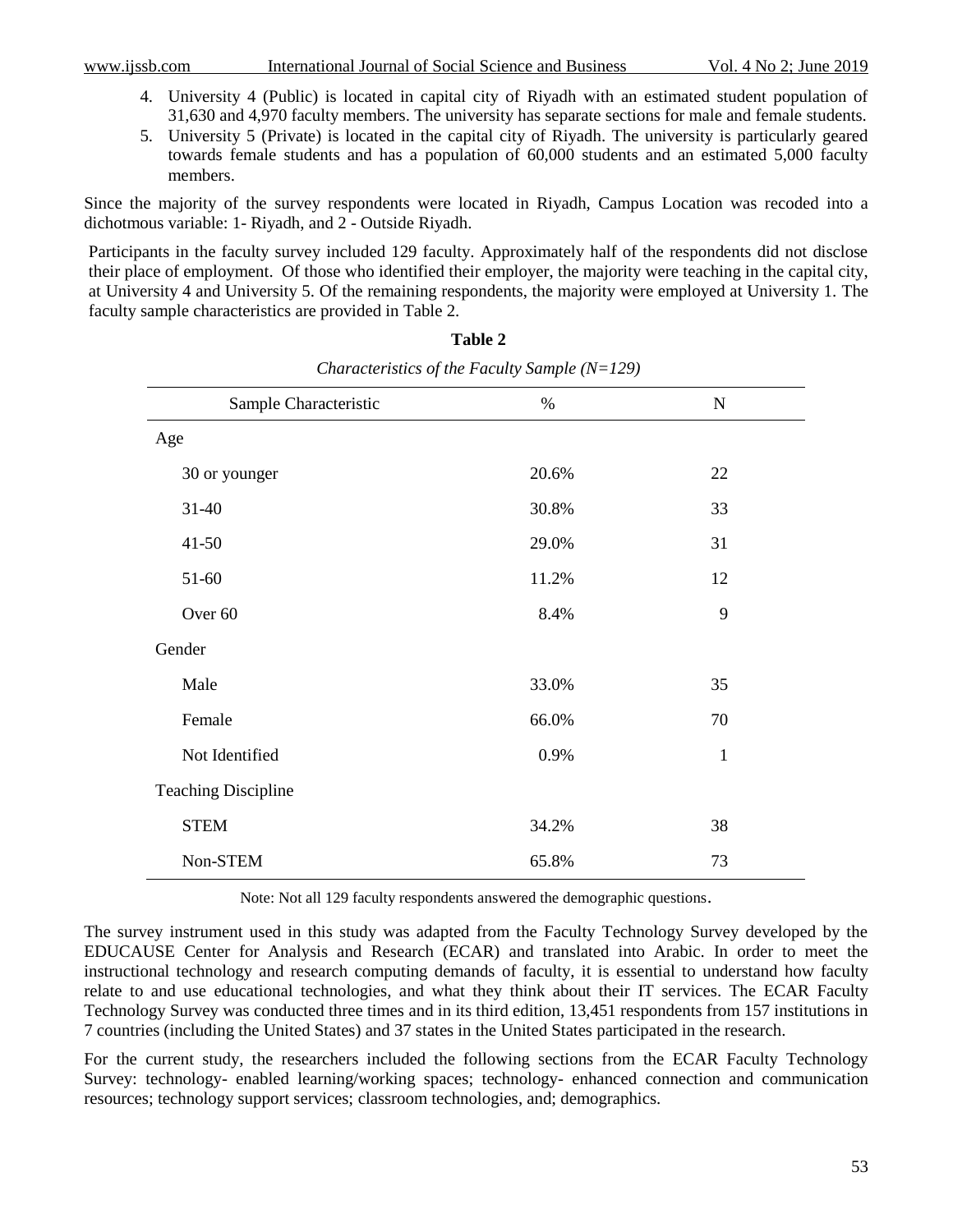- 4. University 4 (Public) is located in capital city of Riyadh with an estimated student population of 31,630 and 4,970 faculty members. The university has separate sections for male and female students.
- 5. University 5 (Private) is located in the capital city of Riyadh. The university is particularly geared towards female students and has a population of 60,000 students and an estimated 5,000 faculty members.

Since the majority of the survey respondents were located in Riyadh, Campus Location was recoded into a dichotmous variable: 1- Riyadh, and 2 - Outside Riyadh.

Participants in the faculty survey included 129 faculty. Approximately half of the respondents did not disclose their place of employment. Of those who identified their employer, the majority were teaching in the capital city, at University 4 and University 5. Of the remaining respondents, the majority were employed at University 1. The faculty sample characteristics are provided in Table 2.

| Sample Characteristic      | $\%$  | $\mathbf N$  |
|----------------------------|-------|--------------|
| Age                        |       |              |
| 30 or younger              | 20.6% | 22           |
| $31 - 40$                  | 30.8% | 33           |
| $41 - 50$                  | 29.0% | 31           |
| 51-60                      | 11.2% | 12           |
| Over 60                    | 8.4%  | 9            |
| Gender                     |       |              |
| Male                       | 33.0% | 35           |
| Female                     | 66.0% | 70           |
| Not Identified             | 0.9%  | $\mathbf{1}$ |
| <b>Teaching Discipline</b> |       |              |
| <b>STEM</b>                | 34.2% | 38           |
| Non-STEM                   | 65.8% | 73           |

**Table 2** *Characteristics of the Faculty Sample (N=129)*

Note: Not all 129 faculty respondents answered the demographic questions.

The survey instrument used in this study was adapted from the Faculty Technology Survey developed by the EDUCAUSE Center for Analysis and Research (ECAR) and translated into Arabic. In order to meet the instructional technology and research computing demands of faculty, it is essential to understand how faculty relate to and use educational technologies, and what they think about their IT services. The ECAR Faculty Technology Survey was conducted three times and in its third edition, 13,451 respondents from 157 institutions in 7 countries (including the United States) and 37 states in the United States participated in the research.

For the current study, the researchers included the following sections from the ECAR Faculty Technology Survey: technology- enabled learning/working spaces; technology- enhanced connection and communication resources; technology support services; classroom technologies, and; demographics.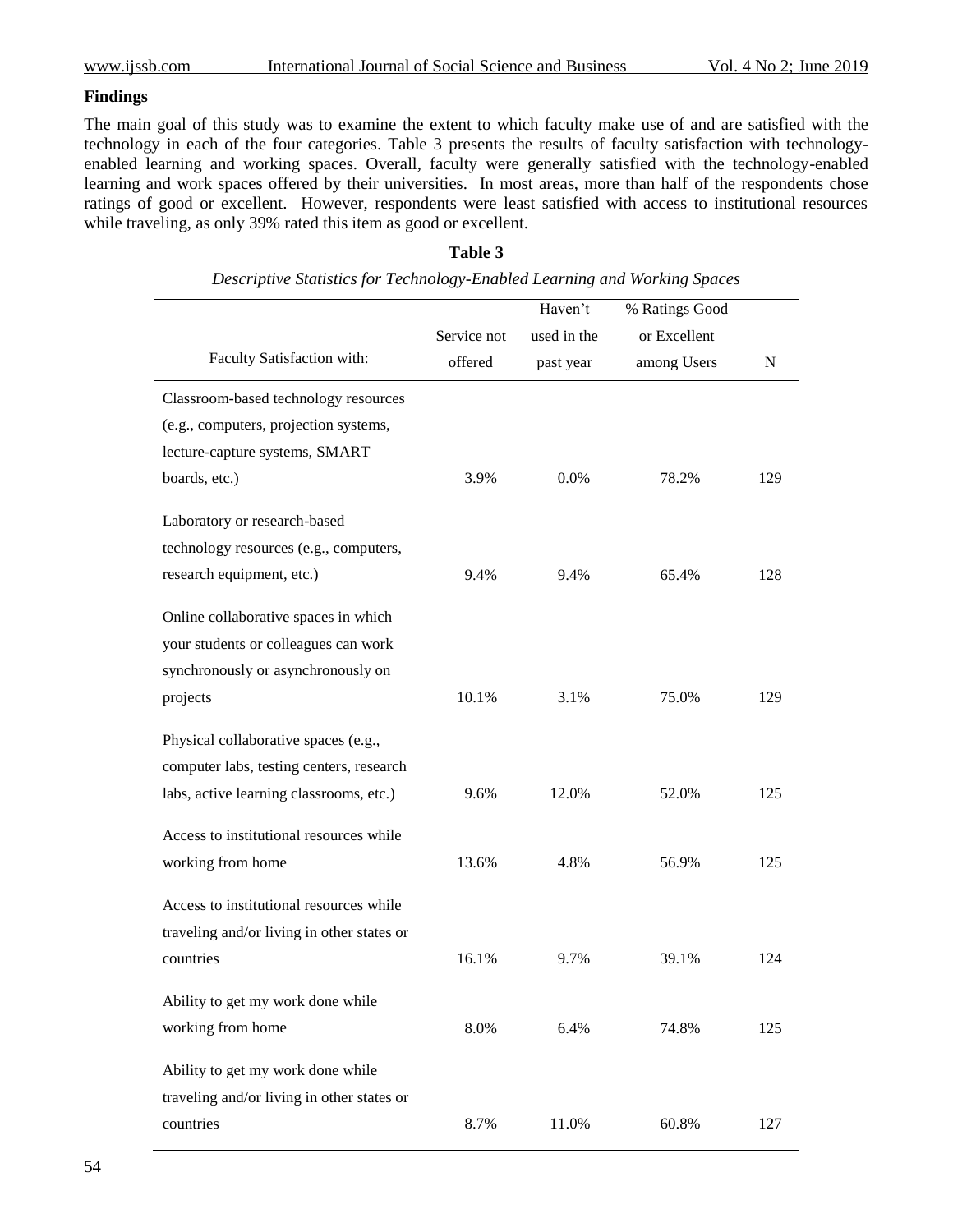#### **Findings**

The main goal of this study was to examine the extent to which faculty make use of and are satisfied with the technology in each of the four categories. Table 3 presents the results of faculty satisfaction with technologyenabled learning and working spaces. Overall, faculty were generally satisfied with the technology-enabled learning and work spaces offered by their universities. In most areas, more than half of the respondents chose ratings of good or excellent. However, respondents were least satisfied with access to institutional resources while traveling, as only 39% rated this item as good or excellent.

# Faculty Satisfaction with: Service not offered Haven't used in the past year % Ratings Good or Excellent among Users N Classroom-based technology resources (e.g., computers, projection systems, lecture-capture systems, SMART boards, etc.) 3.9% 0.0% 78.2% 129 Laboratory or research-based technology resources (e.g., computers, research equipment, etc.) 9.4% 9.4% 65.4% 128 Online collaborative spaces in which your students or colleagues can work synchronously or asynchronously on projects 10.1% 3.1% 75.0% 129 Physical collaborative spaces (e.g., computer labs, testing centers, research labs, active learning classrooms, etc.) 9.6% 12.0% 52.0% 125 Access to institutional resources while working from home 13.6% 4.8% 56.9% 125 Access to institutional resources while traveling and/or living in other states or countries 16.1% 9.7% 39.1% 124 Ability to get my work done while working from home 8.0% 6.4% 74.8% 125 Ability to get my work done while traveling and/or living in other states or

countries 8.7% 11.0% 60.8% 127

#### **Table 3**

*Descriptive Statistics for Technology-Enabled Learning and Working Spaces*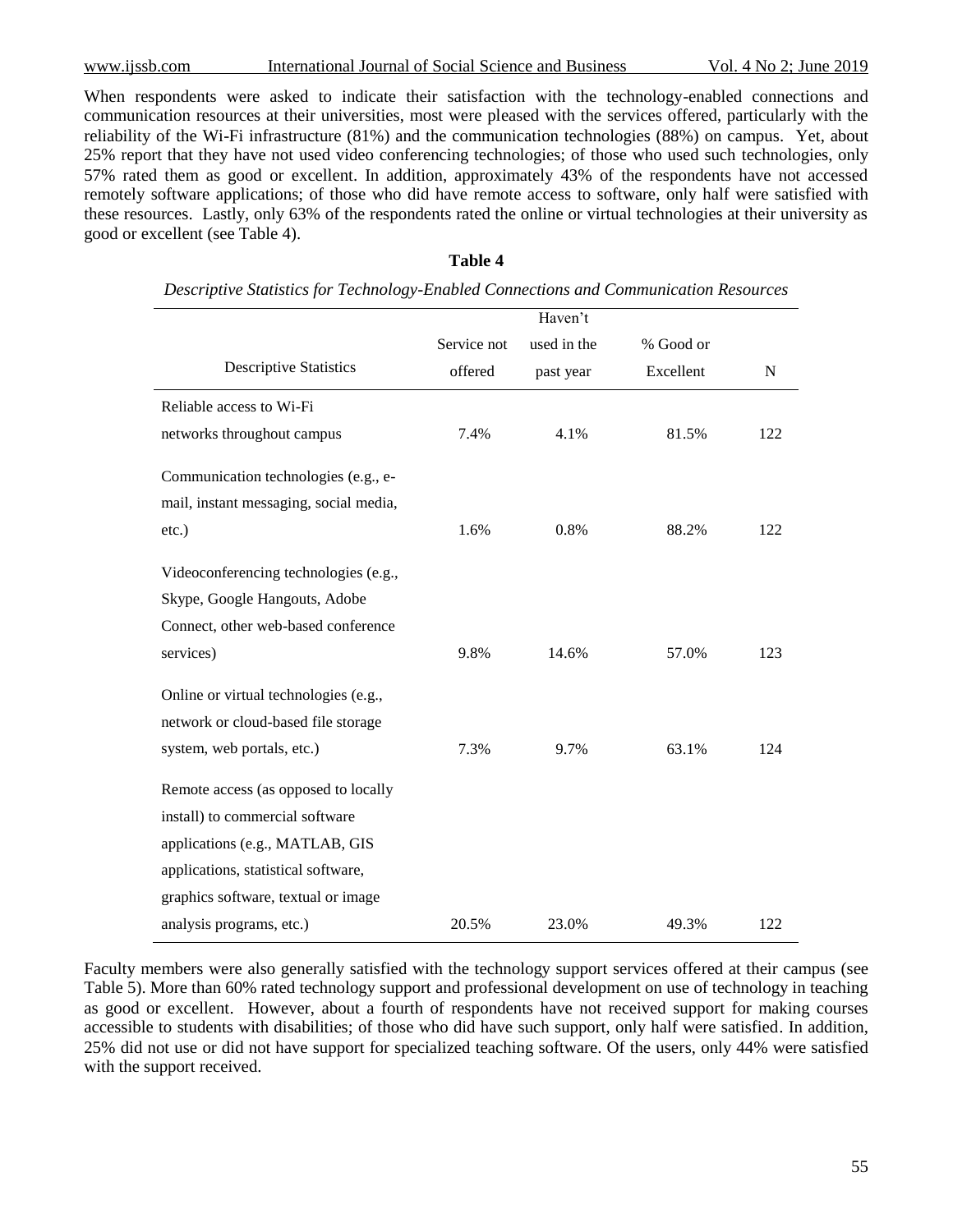When respondents were asked to indicate their satisfaction with the technology-enabled connections and communication resources at their universities, most were pleased with the services offered, particularly with the reliability of the Wi-Fi infrastructure (81%) and the communication technologies (88%) on campus. Yet, about 25% report that they have not used video conferencing technologies; of those who used such technologies, only 57% rated them as good or excellent. In addition, approximately 43% of the respondents have not accessed remotely software applications; of those who did have remote access to software, only half were satisfied with these resources. Lastly, only 63% of the respondents rated the online or virtual technologies at their university as good or excellent (see Table 4).

| וחו<br>ŀ<br>н |  |
|---------------|--|
|---------------|--|

| Descriptive Statistics for Technology-Enabled Connections and Communication Resources |  |  |
|---------------------------------------------------------------------------------------|--|--|

|                                        |             | Haven't     |           |     |
|----------------------------------------|-------------|-------------|-----------|-----|
|                                        | Service not | used in the | % Good or |     |
| <b>Descriptive Statistics</b>          | offered     | past year   | Excellent | N   |
| Reliable access to Wi-Fi               |             |             |           |     |
| networks throughout campus             | 7.4%        | 4.1%        | 81.5%     | 122 |
| Communication technologies (e.g., e-   |             |             |           |     |
| mail, instant messaging, social media, |             |             |           |     |
| etc.)                                  | 1.6%        | 0.8%        | 88.2%     | 122 |
| Videoconferencing technologies (e.g.,  |             |             |           |     |
| Skype, Google Hangouts, Adobe          |             |             |           |     |
| Connect, other web-based conference    |             |             |           |     |
| services)                              | 9.8%        | 14.6%       | 57.0%     | 123 |
| Online or virtual technologies (e.g.,  |             |             |           |     |
| network or cloud-based file storage    |             |             |           |     |
| system, web portals, etc.)             | 7.3%        | 9.7%        | 63.1%     | 124 |
| Remote access (as opposed to locally   |             |             |           |     |
| install) to commercial software        |             |             |           |     |
| applications (e.g., MATLAB, GIS        |             |             |           |     |
| applications, statistical software,    |             |             |           |     |
| graphics software, textual or image    |             |             |           |     |
| analysis programs, etc.)               | 20.5%       | 23.0%       | 49.3%     | 122 |

Faculty members were also generally satisfied with the technology support services offered at their campus (see Table 5). More than 60% rated technology support and professional development on use of technology in teaching as good or excellent. However, about a fourth of respondents have not received support for making courses accessible to students with disabilities; of those who did have such support, only half were satisfied. In addition, 25% did not use or did not have support for specialized teaching software. Of the users, only 44% were satisfied with the support received.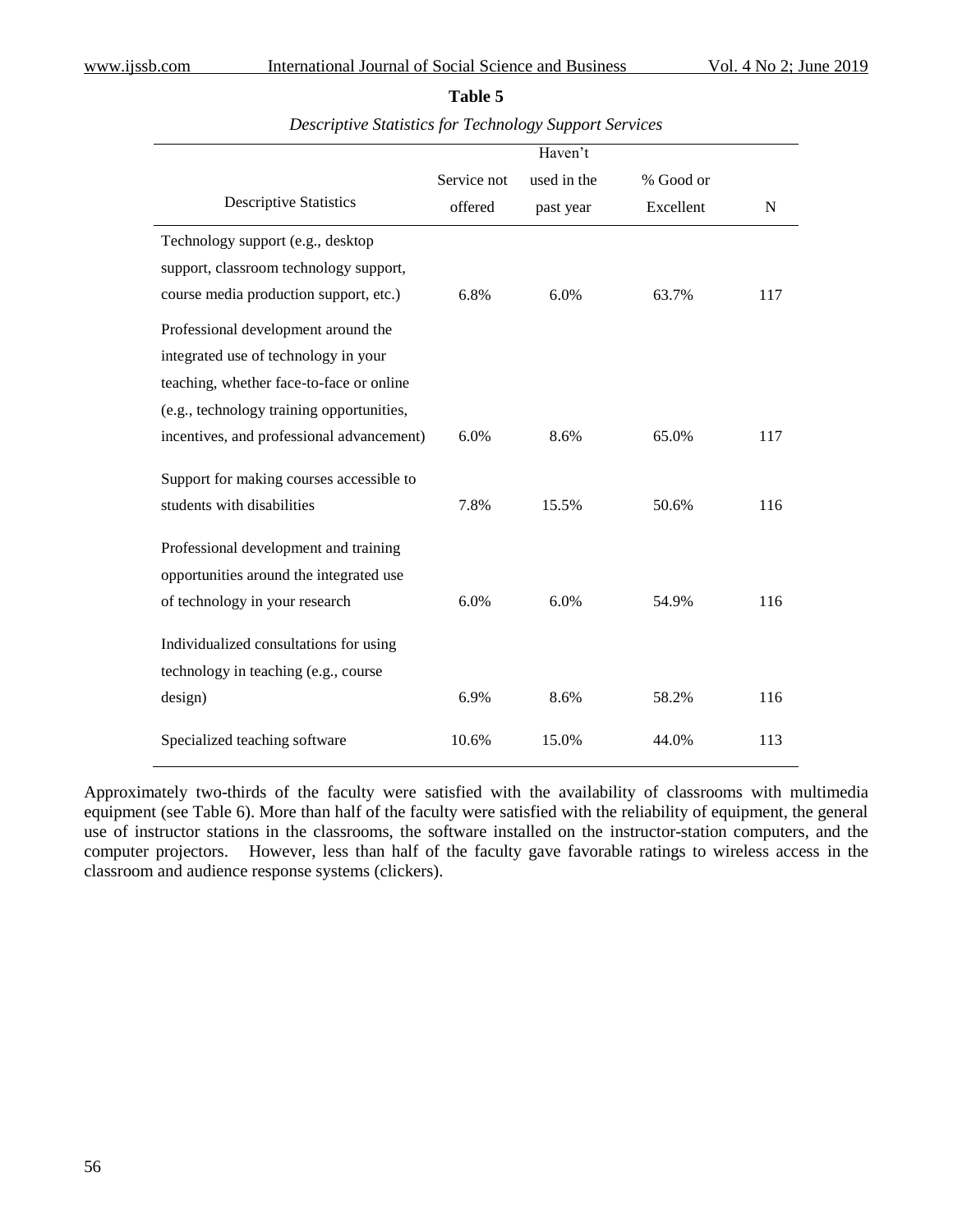#### **Table 5**

| <b>Descriptive Statistics for Technology Support Services</b> |  |  |  |
|---------------------------------------------------------------|--|--|--|
|                                                               |  |  |  |

|                                           |             | Haven't     |           |     |
|-------------------------------------------|-------------|-------------|-----------|-----|
|                                           | Service not | used in the | % Good or |     |
| <b>Descriptive Statistics</b>             | offered     | past year   | Excellent | N   |
| Technology support (e.g., desktop         |             |             |           |     |
| support, classroom technology support,    |             |             |           |     |
| course media production support, etc.)    | 6.8%        | 6.0%        | 63.7%     | 117 |
| Professional development around the       |             |             |           |     |
| integrated use of technology in your      |             |             |           |     |
| teaching, whether face-to-face or online  |             |             |           |     |
| (e.g., technology training opportunities, |             |             |           |     |
| incentives, and professional advancement) | 6.0%        | 8.6%        | 65.0%     | 117 |
| Support for making courses accessible to  |             |             |           |     |
| students with disabilities                | 7.8%        | 15.5%       | 50.6%     | 116 |
|                                           |             |             |           |     |
| Professional development and training     |             |             |           |     |
| opportunities around the integrated use   |             |             |           |     |
| of technology in your research            | 6.0%        | 6.0%        | 54.9%     | 116 |
| Individualized consultations for using    |             |             |           |     |
| technology in teaching (e.g., course      |             |             |           |     |
| design)                                   | 6.9%        | 8.6%        | 58.2%     | 116 |
| Specialized teaching software             | 10.6%       | 15.0%       | 44.0%     | 113 |

Approximately two-thirds of the faculty were satisfied with the availability of classrooms with multimedia equipment (see Table 6). More than half of the faculty were satisfied with the reliability of equipment, the general use of instructor stations in the classrooms, the software installed on the instructor-station computers, and the computer projectors. However, less than half of the faculty gave favorable ratings to wireless access in the classroom and audience response systems (clickers).

#### 56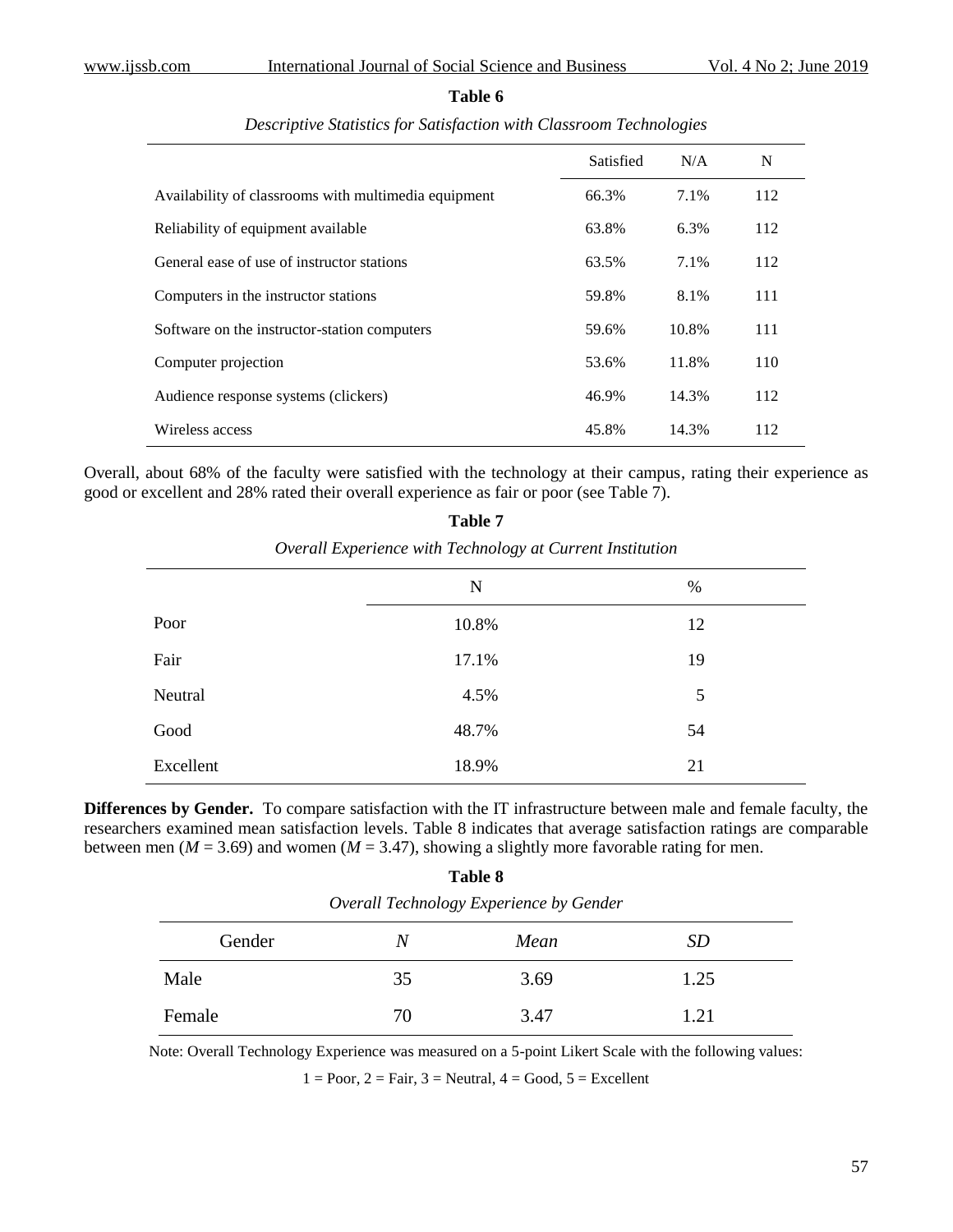#### **Table 6**

|                                                      | Satisfied | N/A     | N   |
|------------------------------------------------------|-----------|---------|-----|
| Availability of classrooms with multimedia equipment | 66.3%     | 7.1%    | 112 |
| Reliability of equipment available                   | 63.8%     | $6.3\%$ | 112 |
| General ease of use of instructor stations           | 63.5%     | 7.1%    | 112 |
| Computers in the instructor stations                 | 59.8%     | 8.1%    | 111 |
| Software on the instructor-station computers         | 59.6%     | 10.8%   | 111 |
| Computer projection                                  | 53.6%     | 11.8%   | 110 |
| Audience response systems (clickers)                 | 46.9%     | 14.3%   | 112 |
| Wireless access                                      | 45.8%     | 14.3%   | 112 |

*Descriptive Statistics for Satisfaction with Classroom Technologies*

Overall, about 68% of the faculty were satisfied with the technology at their campus, rating their experience as good or excellent and 28% rated their overall experience as fair or poor (see Table 7).

| Overall Experience with Technology at Current Histolution |       |    |  |  |
|-----------------------------------------------------------|-------|----|--|--|
|                                                           | N     | %  |  |  |
| Poor                                                      | 10.8% | 12 |  |  |
| Fair                                                      | 17.1% | 19 |  |  |
| Neutral                                                   | 4.5%  | 5  |  |  |
| Good                                                      | 48.7% | 54 |  |  |
| Excellent                                                 | 18.9% | 21 |  |  |

**Table 7** *Overall Experience with Technology at Current Institution*

**Differences by Gender.** To compare satisfaction with the IT infrastructure between male and female faculty, the researchers examined mean satisfaction levels. Table 8 indicates that average satisfaction ratings are comparable between men ( $M = 3.69$ ) and women ( $M = 3.47$ ), showing a slightly more favorable rating for men.

| <b>Table 8</b>                          |    |      |           |  |  |  |
|-----------------------------------------|----|------|-----------|--|--|--|
| Overall Technology Experience by Gender |    |      |           |  |  |  |
| Gender                                  | N  | Mean | <i>SD</i> |  |  |  |
| Male                                    | 35 | 3.69 | 1.25      |  |  |  |
| Female                                  | 70 | 3.47 | 1.21      |  |  |  |

Note: Overall Technology Experience was measured on a 5-point Likert Scale with the following values:

 $1 = Poor, 2 = Fair, 3 = Neutral, 4 = Good, 5 = Excellent$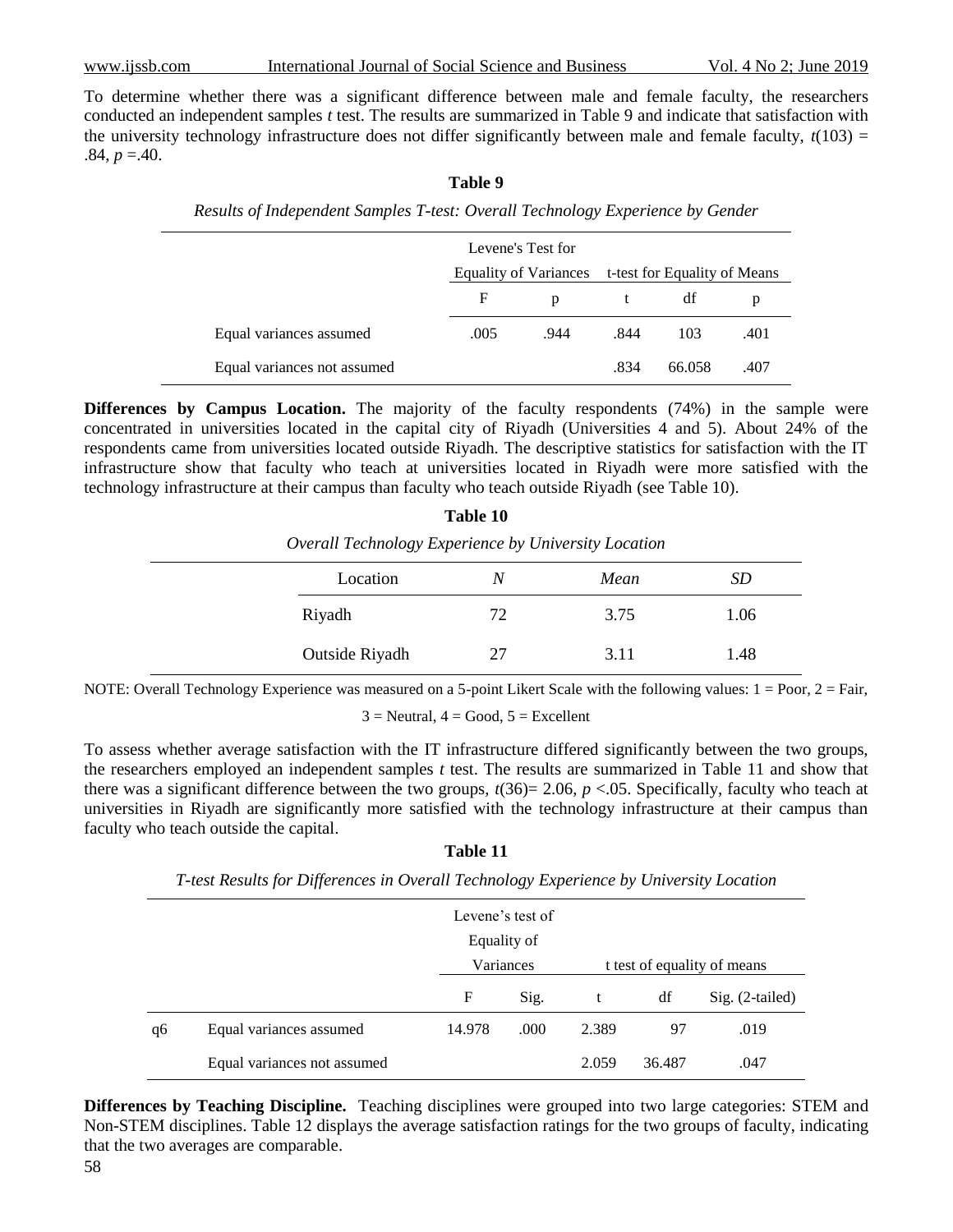To determine whether there was a significant difference between male and female faculty, the researchers conducted an independent samples *t* test. The results are summarized in Table 9 and indicate that satisfaction with the university technology infrastructure does not differ significantly between male and female faculty,  $t(103)$  =  $.84, p = 0.40.$ 

**Table 9**

| Results of Independent Samples T-test: Overall Technology Experience by Gender |                              |      |      |                              |      |  |
|--------------------------------------------------------------------------------|------------------------------|------|------|------------------------------|------|--|
| Levene's Test for                                                              |                              |      |      |                              |      |  |
|                                                                                | <b>Equality of Variances</b> |      |      | t-test for Equality of Means |      |  |
|                                                                                | F                            | p    |      | df                           | p    |  |
| Equal variances assumed                                                        | .005                         | .944 | .844 | 103                          | .401 |  |
| Equal variances not assumed                                                    |                              |      | .834 | 66.058                       | .407 |  |

**Differences by Campus Location.** The majority of the faculty respondents (74%) in the sample were concentrated in universities located in the capital city of Riyadh (Universities 4 and 5). About 24% of the respondents came from universities located outside Riyadh. The descriptive statistics for satisfaction with the IT infrastructure show that faculty who teach at universities located in Riyadh were more satisfied with the technology infrastructure at their campus than faculty who teach outside Riyadh (see Table 10).

| Table 10                                             |    |      |      |  |  |
|------------------------------------------------------|----|------|------|--|--|
| Overall Technology Experience by University Location |    |      |      |  |  |
| Location                                             | N  | Mean | SD.  |  |  |
| Riyadh                                               | 72 | 3.75 | 1.06 |  |  |
| Outside Riyadh                                       | 27 | 3.11 | 1.48 |  |  |

NOTE: Overall Technology Experience was measured on a 5-point Likert Scale with the following values:  $1 = \text{Poor}, 2 = \text{Fair},$ 

 $3$  = Neutral,  $4$  = Good,  $5$  = Excellent

To assess whether average satisfaction with the IT infrastructure differed significantly between the two groups, the researchers employed an independent samples *t* test. The results are summarized in Table 11 and show that there was a significant difference between the two groups,  $t(36)=2.06$ ,  $p < 0.05$ . Specifically, faculty who teach at universities in Riyadh are significantly more satisfied with the technology infrastructure at their campus than faculty who teach outside the capital.

**Table 11**

*T-test Results for Differences in Overall Technology Experience by University Location*

|    |                             |        | Levene's test of |       |                             |                 |  |
|----|-----------------------------|--------|------------------|-------|-----------------------------|-----------------|--|
|    |                             |        | Equality of      |       |                             |                 |  |
|    |                             |        | Variances        |       | t test of equality of means |                 |  |
|    |                             | F      | Sig.             | t     | df                          | Sig. (2-tailed) |  |
| q6 | Equal variances assumed     | 14.978 | .000             | 2.389 | 97                          | .019            |  |
|    | Equal variances not assumed |        |                  | 2.059 | 36.487                      | .047            |  |

**Differences by Teaching Discipline.** Teaching disciplines were grouped into two large categories: STEM and Non-STEM disciplines. Table 12 displays the average satisfaction ratings for the two groups of faculty, indicating that the two averages are comparable.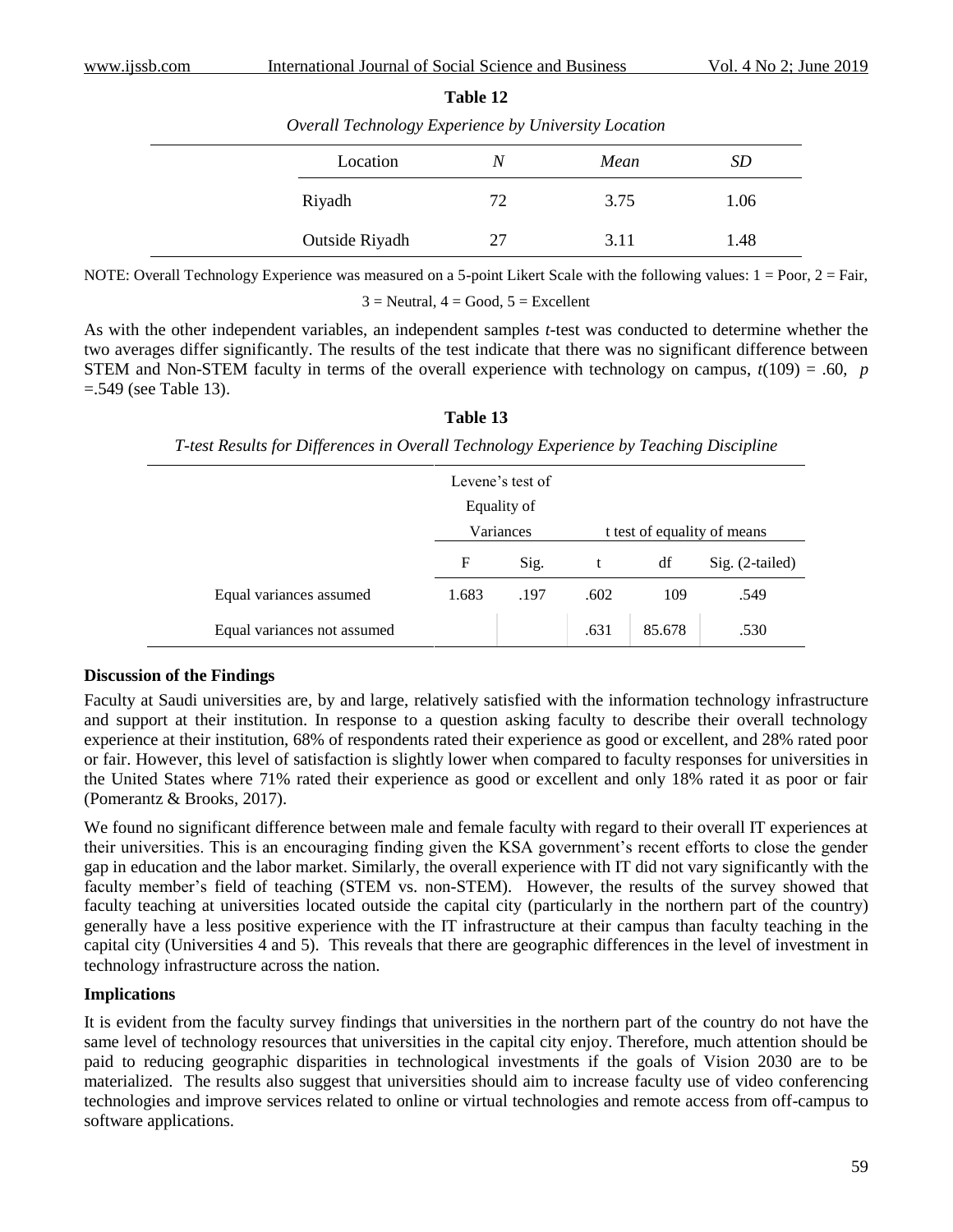| www ijech com |  |
|---------------|--|

| Location       |    | Mean | <i>SD</i> |
|----------------|----|------|-----------|
| Riyadh         | 72 | 3.75 | 1.06      |
| Outside Riyadh | 27 | 3.11 | 1.48      |

| <b>Table</b> |  |
|--------------|--|
|              |  |

*Overall Technology Experience by University Location*

NOTE: Overall Technology Experience was measured on a 5-point Likert Scale with the following values:  $1 = P$ oor,  $2 = F$ air,

 $3$  = Neutral,  $4$  = Good,  $5$  = Excellent

As with the other independent variables, an independent samples *t-*test was conducted to determine whether the two averages differ significantly. The results of the test indicate that there was no significant difference between STEM and Non-STEM faculty in terms of the overall experience with technology on campus,  $t(109) = .60$ , *p* =.549 (see Table 13).

|                             |             | Levene's test of |      |                             |                 |  |
|-----------------------------|-------------|------------------|------|-----------------------------|-----------------|--|
|                             |             | Equality of      |      |                             |                 |  |
|                             | Variances   |                  |      | t test of equality of means |                 |  |
|                             | $\mathbf F$ | Sig.             | t    | df                          | Sig. (2-tailed) |  |
| Equal variances assumed     | 1.683       | .197             | .602 | 109                         | .549            |  |
| Equal variances not assumed |             |                  | .631 | 85.678                      | .530            |  |

**Table 13** *T-test Results for Differences in Overall Technology Experience by Teaching Discipline*

### **Discussion of the Findings**

Faculty at Saudi universities are, by and large, relatively satisfied with the information technology infrastructure and support at their institution. In response to a question asking faculty to describe their overall technology experience at their institution, 68% of respondents rated their experience as good or excellent, and 28% rated poor or fair. However, this level of satisfaction is slightly lower when compared to faculty responses for universities in the United States where 71% rated their experience as good or excellent and only 18% rated it as poor or fair (Pomerantz & Brooks, 2017).

We found no significant difference between male and female faculty with regard to their overall IT experiences at their universities. This is an encouraging finding given the KSA government's recent efforts to close the gender gap in education and the labor market. Similarly, the overall experience with IT did not vary significantly with the faculty member's field of teaching (STEM vs. non-STEM). However, the results of the survey showed that faculty teaching at universities located outside the capital city (particularly in the northern part of the country) generally have a less positive experience with the IT infrastructure at their campus than faculty teaching in the capital city (Universities 4 and 5). This reveals that there are geographic differences in the level of investment in technology infrastructure across the nation.

### **Implications**

It is evident from the faculty survey findings that universities in the northern part of the country do not have the same level of technology resources that universities in the capital city enjoy. Therefore, much attention should be paid to reducing geographic disparities in technological investments if the goals of Vision 2030 are to be materialized. The results also suggest that universities should aim to increase faculty use of video conferencing technologies and improve services related to online or virtual technologies and remote access from off-campus to software applications.